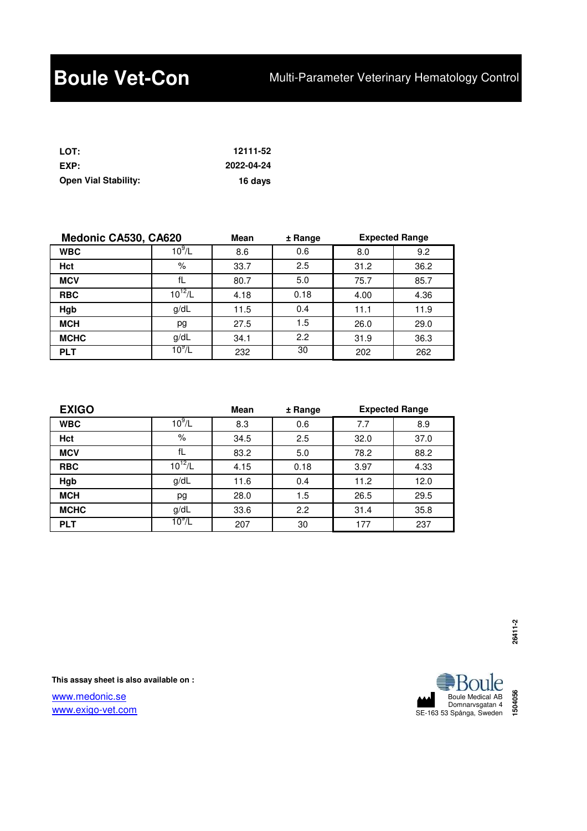| LOT:                        | 12111-52   |
|-----------------------------|------------|
| EXP:                        | 2022-04-24 |
| <b>Open Vial Stability:</b> | 16 days    |

| Medonic CA530, CA620 |                | <b>Mean</b> | ± Range | <b>Expected Range</b> |      |
|----------------------|----------------|-------------|---------|-----------------------|------|
| <b>WBC</b>           | $10^9$ /L      | 8.6         | 0.6     | 8.0                   | 9.2  |
| Hct                  | %              | 33.7        | 2.5     | 31.2                  | 36.2 |
| <b>MCV</b>           | fL             | 80.7        | 5.0     | 75.7                  | 85.7 |
| <b>RBC</b>           | $10^{12}/L$    | 4.18        | 0.18    | 4.00                  | 4.36 |
| Hgb                  | g/dL           | 11.5        | 0.4     | 11.1                  | 11.9 |
| <b>MCH</b>           | pg             | 27.5        | 1.5     | 26.0                  | 29.0 |
| <b>MCHC</b>          | g/dL           | 34.1        | 2.2     | 31.9                  | 36.3 |
| <b>PLT</b>           | $10^{\circ}/L$ | 232         | 30      | 202                   | 262  |

| <b>EXIGO</b> |                | <b>Mean</b> | ± Range | <b>Expected Range</b> |      |
|--------------|----------------|-------------|---------|-----------------------|------|
| <b>WBC</b>   | $10^{9}/L$     | 8.3         | 0.6     | 7.7                   | 8.9  |
| Hct          | %              | 34.5        | 2.5     | 32.0                  | 37.0 |
| <b>MCV</b>   | fL             | 83.2        | 5.0     | 78.2                  | 88.2 |
| <b>RBC</b>   | $10^{12}$ /L   | 4.15        | 0.18    | 3.97                  | 4.33 |
| Hgb          | g/dL           | 11.6        | 0.4     | 11.2                  | 12.0 |
| <b>MCH</b>   | pg             | 28.0        | 1.5     | 26.5                  | 29.5 |
| <b>MCHC</b>  | g/dL           | 33.6        | 2.2     | 31.4                  | 35.8 |
| <b>PLT</b>   | $10^{\circ}/L$ | 207         | 30      | 177                   | 237  |

**This assay sheet is also available on :**

www.medonic.se www.exigo-vet.com